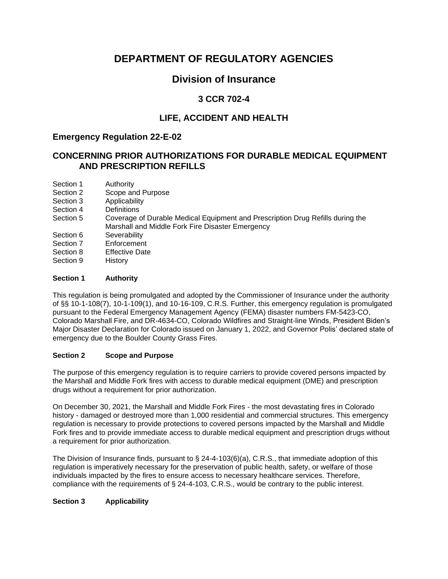# **DEPARTMENT OF REGULATORY AGENCIES**

# **Division of Insurance**

## **3 CCR 702-4**

## **LIFE, ACCIDENT AND HEALTH**

### **Emergency Regulation 22-E-02**

### **CONCERNING PRIOR AUTHORIZATIONS FOR DURABLE MEDICAL EQUIPMENT AND PRESCRIPTION REFILLS**

- Section 1 Authority
- Section 2 Scope and Purpose
- Section 3 Applicability
- Section 4 Definitions
- Section 5 Coverage of Durable Medical Equipment and Prescription Drug Refills during the Marshall and Middle Fork Fire Disaster Emergency
- Section 6 Severability
- Section 7 Enforcement
- Section 8 Effective Date
- Section 9 History

#### **Section 1 Authority**

This regulation is being promulgated and adopted by the Commissioner of Insurance under the authority of §§ 10-1-108(7), 10-1-109(1), and 10-16-109, C.R.S. Further, this emergency regulation is promulgated pursuant to the Federal Emergency Management Agency (FEMA) disaster numbers FM-5423-CO, Colorado Marshall Fire, and DR-4634-CO, Colorado Wildfires and Straight-line Winds, President Biden's Major Disaster Declaration for Colorado issued on January 1, 2022, and Governor Polis' declared state of emergency due to the Boulder County Grass Fires.

#### **Section 2 Scope and Purpose**

The purpose of this emergency regulation is to require carriers to provide covered persons impacted by the Marshall and Middle Fork fires with access to durable medical equipment (DME) and prescription drugs without a requirement for prior authorization.

On December 30, 2021, the Marshall and Middle Fork Fires - the most devastating fires in Colorado history - damaged or destroyed more than 1,000 residential and commercial structures. This emergency regulation is necessary to provide protections to covered persons impacted by the Marshall and Middle Fork fires and to provide immediate access to durable medical equipment and prescription drugs without a requirement for prior authorization.

The Division of Insurance finds, pursuant to § 24-4-103(6)(a), C.R.S., that immediate adoption of this regulation is imperatively necessary for the preservation of public health, safety, or welfare of those individuals impacted by the fires to ensure access to necessary healthcare services. Therefore, compliance with the requirements of § 24-4-103, C.R.S., would be contrary to the public interest.

#### **Section 3 Applicability**